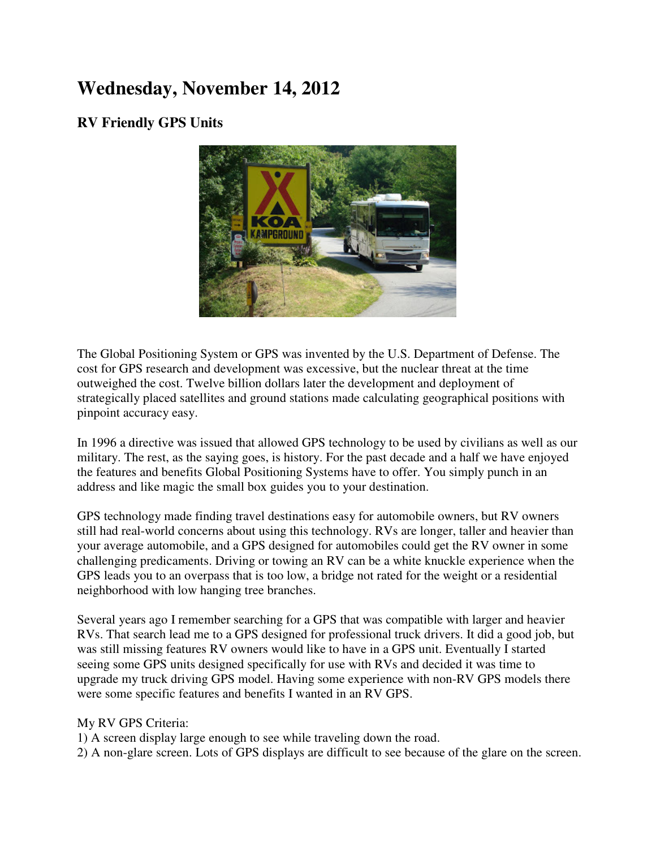## **Wednesday, November 14, 2012**

## **RV Friendly GPS Units**



The Global Positioning System or GPS was invented by the U.S. Department of Defense. The cost for GPS research and development was excessive, but the nuclear threat at the time outweighed the cost. Twelve billion dollars later the development and deployment of strategically placed satellites and ground stations made calculating geographical positions with pinpoint accuracy easy.

In 1996 a directive was issued that allowed GPS technology to be used by civilians as well as our military. The rest, as the saying goes, is history. For the past decade and a half we have enjoyed the features and benefits Global Positioning Systems have to offer. You simply punch in an address and like magic the small box guides you to your destination.

GPS technology made finding travel destinations easy for automobile owners, but RV owners still had real-world concerns about using this technology. RVs are longer, taller and heavier than your average automobile, and a GPS designed for automobiles could get the RV owner in some challenging predicaments. Driving or towing an RV can be a white knuckle experience when the GPS leads you to an overpass that is too low, a bridge not rated for the weight or a residential neighborhood with low hanging tree branches.

Several years ago I remember searching for a GPS that was compatible with larger and heavier RVs. That search lead me to a GPS designed for professional truck drivers. It did a good job, but was still missing features RV owners would like to have in a GPS unit. Eventually I started seeing some GPS units designed specifically for use with RVs and decided it was time to upgrade my truck driving GPS model. Having some experience with non-RV GPS models there were some specific features and benefits I wanted in an RV GPS.

## My RV GPS Criteria:

1) A screen display large enough to see while traveling down the road.

2) A non-glare screen. Lots of GPS displays are difficult to see because of the glare on the screen.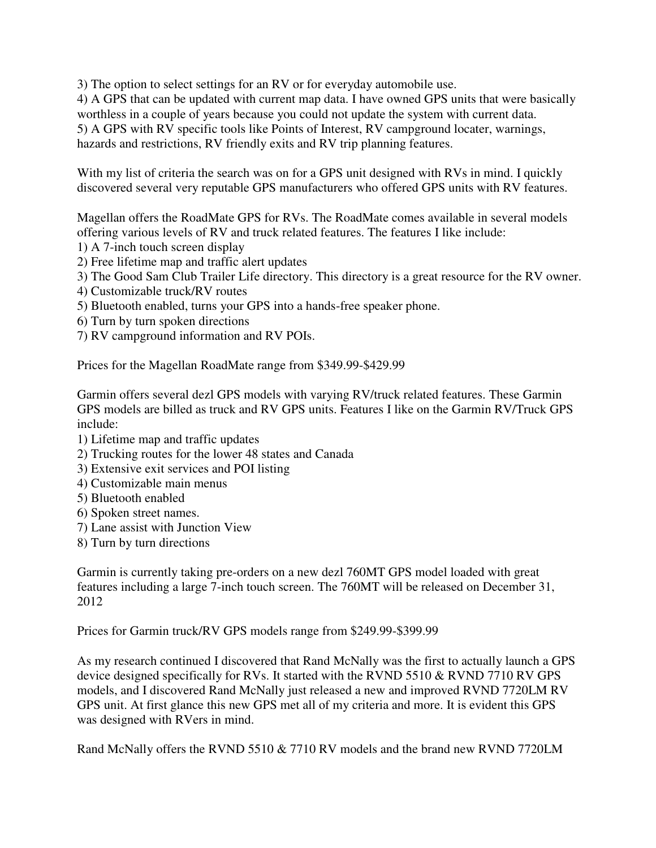3) The option to select settings for an RV or for everyday automobile use.

4) A GPS that can be updated with current map data. I have owned GPS units that were basically worthless in a couple of years because you could not update the system with current data. 5) A GPS with RV specific tools like Points of Interest, RV campground locater, warnings, hazards and restrictions, RV friendly exits and RV trip planning features.

With my list of criteria the search was on for a GPS unit designed with RVs in mind. I quickly discovered several very reputable GPS manufacturers who offered GPS units with RV features.

Magellan offers the RoadMate GPS for RVs. The RoadMate comes available in several models offering various levels of RV and truck related features. The features I like include:

1) A 7-inch touch screen display

- 2) Free lifetime map and traffic alert updates
- 3) The Good Sam Club Trailer Life directory. This directory is a great resource for the RV owner.
- 4) Customizable truck/RV routes
- 5) Bluetooth enabled, turns your GPS into a hands-free speaker phone.
- 6) Turn by turn spoken directions
- 7) RV campground information and RV POIs.

Prices for the Magellan RoadMate range from \$349.99-\$429.99

Garmin offers several dezl GPS models with varying RV/truck related features. These Garmin GPS models are billed as truck and RV GPS units. Features I like on the Garmin RV/Truck GPS include:

- 1) Lifetime map and traffic updates
- 2) Trucking routes for the lower 48 states and Canada
- 3) Extensive exit services and POI listing
- 4) Customizable main menus
- 5) Bluetooth enabled
- 6) Spoken street names.
- 7) Lane assist with Junction View
- 8) Turn by turn directions

Garmin is currently taking pre-orders on a new dezl 760MT GPS model loaded with great features including a large 7-inch touch screen. The 760MT will be released on December 31, 2012

Prices for Garmin truck/RV GPS models range from \$249.99-\$399.99

As my research continued I discovered that Rand McNally was the first to actually launch a GPS device designed specifically for RVs. It started with the RVND 5510 & RVND 7710 RV GPS models, and I discovered Rand McNally just released a new and improved RVND 7720LM RV GPS unit. At first glance this new GPS met all of my criteria and more. It is evident this GPS was designed with RVers in mind.

Rand McNally offers the RVND 5510 & 7710 RV models and the brand new RVND 7720LM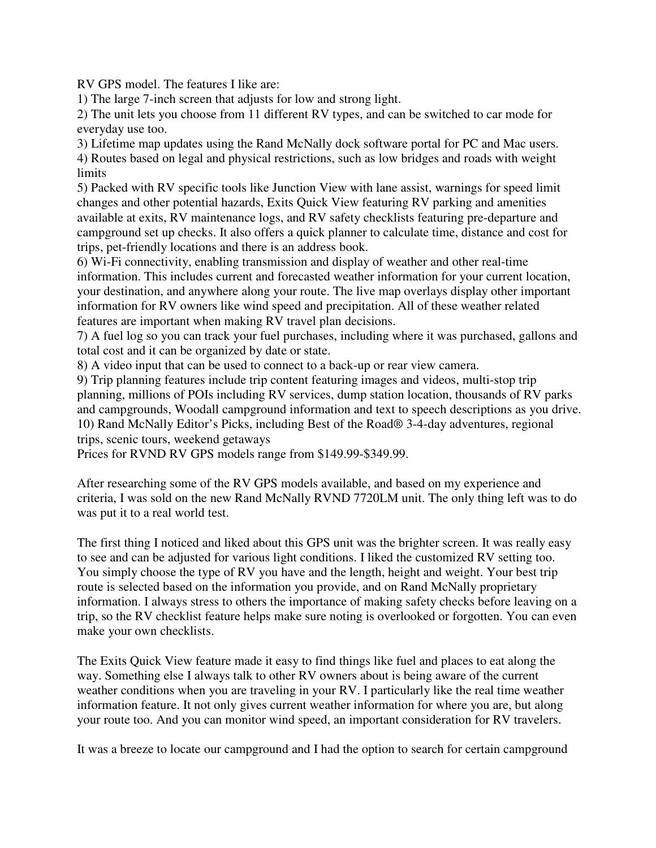RV GPS model. The features I like are:

1) The large 7-inch screen that adjusts for low and strong light.

2) The unit lets you choose from 11 different RV types, and can be switched to car mode for everyday use too.

3) Lifetime map updates using the Rand McNally dock software portal for PC and Mac users. 4) Routes based on legal and physical restrictions, such as low bridges and roads with weight **limits** 

5) Packed with RV specific tools like Junction View with lane assist, warnings for speed limit changes and other potential hazards, Exits Quick View featuring RV parking and amenities available at exits, RV maintenance logs, and RV safety checklists featuring pre-departure and campground set up checks. It also offers a quick planner to calculate time, distance and cost for trips, pet-friendly locations and there is an address book.

6) Wi-Fi connectivity, enabling transmission and display of weather and other real-time information. This includes current and forecasted weather information for your current location, your destination, and anywhere along your route. The live map overlays display other important information for RV owners like wind speed and precipitation. All of these weather related features are important when making RV travel plan decisions.

7) A fuel log so you can track your fuel purchases, including where it was purchased, gallons and total cost and it can be organized by date or state.

8) A video input that can be used to connect to a back-up or rear view camera.

9) Trip planning features include trip content featuring images and videos, multi-stop trip planning, millions of POIs including RV services, dump station location, thousands of RV parks and campgrounds, Woodall campground information and text to speech descriptions as you drive. 10) Rand McNally Editor's Picks, including Best of the Road® 3-4-day adventures, regional trips, scenic tours, weekend getaways

Prices for RVND RV GPS models range from \$149.99-\$349.99.

After researching some of the RV GPS models available, and based on my experience and criteria, I was sold on the new Rand McNally RVND 7720LM unit. The only thing left was to do was put it to a real world test.

The first thing I noticed and liked about this GPS unit was the brighter screen. It was really easy to see and can be adjusted for various light conditions. I liked the customized RV setting too. You simply choose the type of RV you have and the length, height and weight. Your best trip route is selected based on the information you provide, and on Rand McNally proprietary information. I always stress to others the importance of making safety checks before leaving on a trip, so the RV checklist feature helps make sure noting is overlooked or forgotten. You can even make your own checklists.

The Exits Quick View feature made it easy to find things like fuel and places to eat along the way. Something else I always talk to other RV owners about is being aware of the current weather conditions when you are traveling in your RV. I particularly like the real time weather information feature. It not only gives current weather information for where you are, but along your route too. And you can monitor wind speed, an important consideration for RV travelers.

It was a breeze to locate our campground and I had the option to search for certain campground